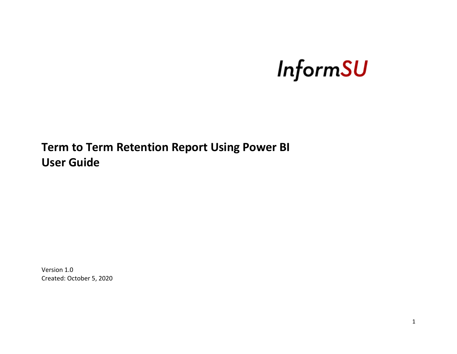# **InformSU**

**Term to Term Retention Report Using Power BI User Guide**

Version 1.0 Created: October 5, 2020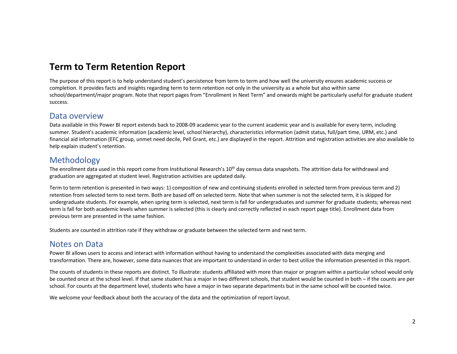# **Term to Term Retention Report**

The purpose of this report is to help understand student's persistence from term to term and how well the university ensures academic success or completion. It provides facts and insights regarding term to term retention not only in the university as a whole but also within same school/department/major program. Note that report pages from "Enrollment in Next Term" and onwards might be particularly useful for graduate student success.

#### Data overview

Data available in this Power BI report extends back to 2008-09 academic year to the current academic year and is available for every term, including summer. Student's academic information (academic level, school hierarchy), characteristics information (admit status, full/part time, URM, etc.) and financial aid information (EFC group, unmet need decile, Pell Grant, etc.) are displayed in the report. Attrition and registration activities are also available to help explain student's retention.

#### Methodology

The enrollment data used in this report come from Institutional Research's 10<sup>th</sup> day census data snapshots. The attrition data for withdrawal and graduation are aggregated at student level. Registration activities are updated daily.

Term to term retention is presented in two ways: 1) composition of new and continuing students enrolled in selected term from previous term and 2) retention from selected term to next term. Both are based off on selected term. Note that when summer is not the selected term, it is skipped for undergraduate students. For example, when spring term is selected, next term is fall for undergraduates and summer for graduate students; whereas next term is fall for both academic levels when summer is selected (this is clearly and correctly reflected in each report page title). Enrollment data from previous term are presented in the same fashion.

Students are counted in attrition rate if they withdraw or graduate between the selected term and next term.

## Notes on Data

Power BI allows users to access and interact with information without having to understand the complexities associated with data merging and transformation. There are, however, some data nuances that are important to understand in order to best utilize the information presented in this report.

The counts of students in these reports are distinct. To illustrate: students affiliated with more than major or program within a particular school would only be counted once at the school level. If that same student has a major in two different schools, that student would be counted in both – if the counts are per school. For counts at the department level, students who have a major in two separate departments but in the same school will be counted twice.

We welcome your feedback about both the accuracy of the data and the optimization of report layout.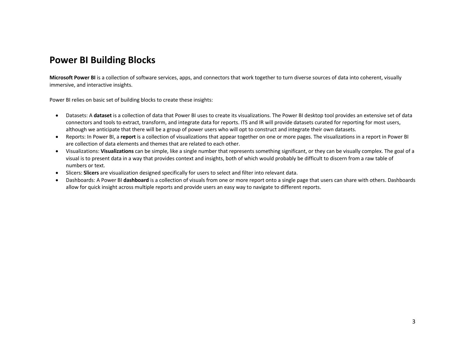# **Power BI Building Blocks**

**Microsoft Power BI** is a collection of software services, apps, and connectors that work together to turn diverse sources of data into coherent, visually immersive, and interactive insights.

Power BI relies on basic set of building blocks to create these insights:

- Datasets: A **dataset** is a collection of data that Power BI uses to create its visualizations. The Power BI desktop tool provides an extensive set of data connectors and tools to extract, transform, and integrate data for reports. ITS and IR will provide datasets curated for reporting for most users, although we anticipate that there will be a group of power users who will opt to construct and integrate their own datasets.
- Reports: In Power BI, a **report** is a collection of visualizations that appear together on one or more pages. The visualizations in a report in Power BI are collection of data elements and themes that are related to each other.
- Visualizations: **Visualizations** can be simple, like a single number that represents something significant, or they can be visually complex. The goal of a visual is to present data in a way that provides context and insights, both of which would probably be difficult to discern from a raw table of numbers or text.
- Slicers: **Slicers** are visualization designed specifically for users to select and filter into relevant data.
- Dashboards: A Power BI **dashboard** is a collection of visuals from one or more report onto a single page that users can share with others. Dashboards allow for quick insight across multiple reports and provide users an easy way to navigate to different reports.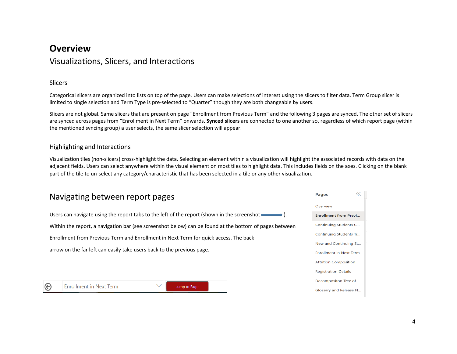# **Overview**

#### Visualizations, Slicers, and Interactions

#### Slicers

Categorical slicers are organized into lists on top of the page. Users can make selections of interest using the slicers to filter data. Term Group slicer is limited to single selection and Term Type is pre-selected to "Quarter" though they are both changeable by users.

Slicers are not global. Same slicers that are present on page "Enrollment from Previous Term" and the following 3 pages are synced. The other set of slicers are synced across pages from "Enrollment in Next Term" onwards. **Synced slicers** are connected to one another so, regardless of which report page (within the mentioned syncing group) a user selects, the same slicer selection will appear.

#### Highlighting and Interactions

Visualization tiles (non-slicers) cross-highlight the data. Selecting an element within a visualization will highlight the associated records with data on the adjacent fields. Users can select anywhere within the visual element on most tiles to highlight data. This includes fields on the axes. Clicking on the blank part of the tile to un-select any category/characteristic that has been selected in a tile or any other visualization.

#### $<<$ Pages Navigating between report pages Overview Users can navigate using the report tabs to the left of the report (shown in the screenshot  $\longrightarrow$ ). **Enrollment from Previ...** Continuing Students C... Within the report, a navigation bar (see screenshot below) can be found at the bottom of pages between Continuing Students Tr... Enrollment from Previous Term and Enrollment in Next Term for quick access. The back New and Continuing St... arrow on the far left can easily take users back to the previous page.**Enrollment in Next Term Attrition Composition Registration Details** Decompositon Tree of ... ⊛ **Enrollment in Next Term** Jump to Page

Glossary and Release N...

4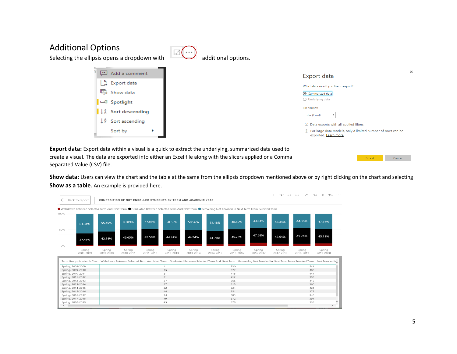#### Additional Options

Selecting the ellipsis opens a dropdown with  $\Box$ 



**Export data:** Export data within a visual is a quick to extract the underlying, summarized data used to create a visual. The data are exported into either an Excel file along with the slicers applied or a Comma Separated Value (CSV) file.

Show data: Users can view the chart and the table at the same from the ellipsis dropdown mentioned above or by right clicking on the chart and selecting **Show as a table**. An example is provided here.

| 100% | ● Withdrawn Between Selected Term And Next Term ● Graduated Between Selected Term And Next Term ● Remaining Not Enrolled In Next Term From Selected Term |                     |                     |                                                                                                                                                                    |                     |                     |                     |                     |                     |                     |                     |                     |
|------|----------------------------------------------------------------------------------------------------------------------------------------------------------|---------------------|---------------------|--------------------------------------------------------------------------------------------------------------------------------------------------------------------|---------------------|---------------------|---------------------|---------------------|---------------------|---------------------|---------------------|---------------------|
|      | 61.34%                                                                                                                                                   | 55.45%              | 49.89%              | 47.89%                                                                                                                                                             | 50.55%              | 50.56%              | 54.18%              | 48.50%              | 43.23%              | 48.34%              | 44.36%              | 47.64%              |
| 50%  | 37.41%                                                                                                                                                   | 42.84%              | 46.65%              | 49.58%                                                                                                                                                             | 44.91%              | 44.24%              | 41.70%              | 45.76%              | 47.58%              | 45.64%              | 49.74%              | 45.21%              |
| 0%   | Spring<br>2008-2009                                                                                                                                      | Spring<br>2009-2010 | Spring<br>2010-2011 | Spring<br>2011-2012                                                                                                                                                | Spring<br>2012-2013 | Spring<br>2013-2014 | Spring<br>2014-2015 | Spring<br>2015-2016 | Spring<br>2016-2017 | Spring<br>2017-2018 | Spring<br>2018-2019 | Spring<br>2019-2020 |
|      |                                                                                                                                                          |                     |                     |                                                                                                                                                                    |                     |                     |                     |                     |                     |                     |                     |                     |
|      | Term Group, Academic Year                                                                                                                                |                     |                     | Withdrawn Between Selected Term And Next Term Graduated Between Selected Term And Next Term Remaining Not Enrolled In Next Term From Selected Term Not Enrolled II |                     |                     |                     |                     |                     |                     |                     |                     |
|      | Spring, 2008-2009                                                                                                                                        |                     |                     |                                                                                                                                                                    | 11                  |                     |                     | 330                 |                     |                     | 541                 |                     |
|      | Spring, 2009-2010                                                                                                                                        |                     |                     |                                                                                                                                                                    | 15<br>31            |                     |                     | 377<br>418          |                     |                     | 488<br>447          |                     |
|      | Spring, 2010-2011<br>Spring, 2011-2012                                                                                                                   |                     |                     |                                                                                                                                                                    | 21                  |                     |                     | 412                 |                     |                     | 398                 |                     |
|      | Spring, 2012-2013                                                                                                                                        |                     |                     |                                                                                                                                                                    | 37                  |                     |                     | 366                 |                     |                     | 412                 |                     |
|      | Spring, 2013-2014                                                                                                                                        |                     |                     |                                                                                                                                                                    | 37                  |                     |                     | 315                 |                     |                     | 360                 |                     |
|      | Spring, 2014-2015                                                                                                                                        |                     |                     |                                                                                                                                                                    | 32                  |                     |                     | 324                 |                     |                     | 421                 |                     |
|      | Spring, 2015-2016                                                                                                                                        |                     |                     |                                                                                                                                                                    | 44                  |                     |                     | 351                 |                     |                     | 372                 |                     |
|      | Spring, 2016-2017<br>Spring, 2017-2018                                                                                                                   |                     |                     |                                                                                                                                                                    | 74<br>49            |                     |                     | 383<br>372          |                     |                     | 348<br>394          |                     |

Cancel

Export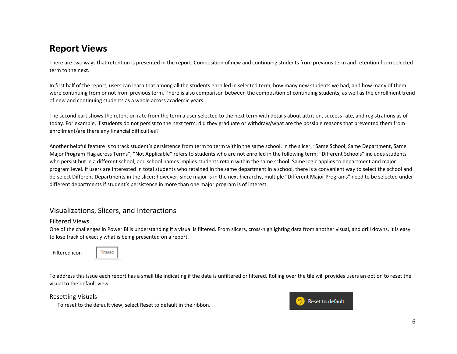# **Report Views**

There are two ways that retention is presented in the report. Composition of new and continuing students from previous term and retention from selected term to the next.

In first half of the report, users can learn that among all the students enrolled in selected term, how many new students we had, and how many of them were continuing from or not from previous term. There is also comparison between the composition of continuing students, as well as the enrollment trend of new and continuing students as a whole across academic years.

The second part shows the retention rate from the term a user selected to the next term with details about attrition, success rate, and registrations as of today. For example, if students do not persist to the next term, did they graduate or withdraw/what are the possible reasons that prevented them from enrollment/are there any financial difficulties?

Another helpful feature is to track student's persistence from term to term within the same school. In the slicer, "Same School, Same Department, Same Major Program Flag across Terms", "Not Applicable" refers to students who are not enrolled in the following term; "Different Schools" includes students who persist but in a different school, and school names implies students retain within the same school. Same logic applies to department and major program level. If users are interested in total students who retained in the same department in a school, there is a convenient way to select the school and de-select Different Departments in the slicer; however, since major is in the next hierarchy, multiple "Different Major Programs" need to be selected under different departments if student's persistence in more than one major program is of interest.

#### Visualizations, Slicers, and Interactions

#### Filtered Views

One of the challenges in Power BI is understanding if a visual is filtered. From slicers, cross-highlighting data from another visual, and drill downs, it is easy to lose track of exactly what is being presented on a report.





To address this issue each report has a small tile indicating if the data is unfiltered or filtered. Rolling over the tile will provides users an option to reset the visual to the default view.

#### Resetting Visuals

To reset to the default view, select Reset to default in the ribbon.

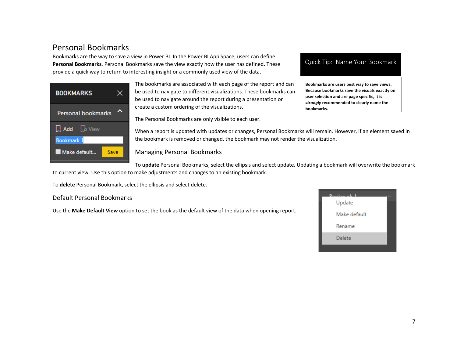## Personal Bookmarks

Bookmarks are the way to save a view in Power BI. In the Power BI App Space, users can define **Personal Bookmarks**. Personal Bookmarks save the view exactly how the user has defined. These provide a quick way to return to interesting insight or a commonly used view of the data.



The bookmarks are associated with each page of the report and can be used to navigate to different visualizations. These bookmarks can be used to navigate around the report during a presentation or create a custom ordering of the visualizations.

The Personal Bookmarks are only visible to each user.

Quick Tip: Name Your Bookmark

**Bookmarks are users best way to save views. Because bookmarks save the visuals exactly on user selection and are page specific, it is**  *strongly* **recommended to clearly name the bookmarks.**

When a report is updated with updates or changes, Personal Bookmarks will remain. However, if an element saved in the bookmark is removed or changed, the bookmark may not render the visualization.

Managing Personal Bookmarks

To **update** Personal Bookmarks, select the ellipsis and select update. Updating a bookmark will overwrite the bookmark

to current view. Use this option to make adjustments and changes to an existing bookmark.

To **delete** Personal Bookmark, select the ellipsis and select delete.

Default Personal Bookmarks

Use the **Make Default View** option to set the book as the default view of the data when opening report.